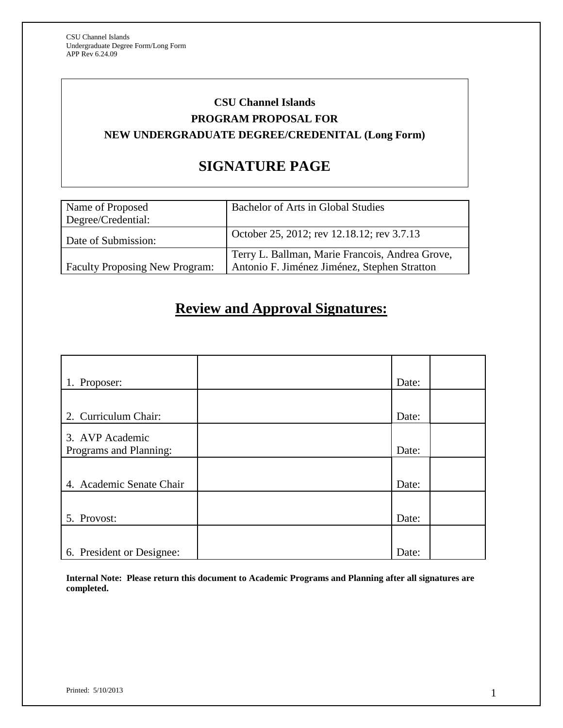# **CSU Channel Islands PROGRAM PROPOSAL FOR NEW UNDERGRADUATE DEGREE/CREDENITAL (Long Form)**

# **SIGNATURE PAGE**

| Name of Proposed<br>Degree/Credential: | Bachelor of Arts in Global Studies              |
|----------------------------------------|-------------------------------------------------|
| Date of Submission:                    | October 25, 2012; rev 12.18.12; rev 3.7.13      |
|                                        | Terry L. Ballman, Marie Francois, Andrea Grove, |
| <b>Faculty Proposing New Program:</b>  | Antonio F. Jiménez Jiménez, Stephen Stratton    |

# **Review and Approval Signatures:**

| 1. Proposer:              | Date: |  |
|---------------------------|-------|--|
|                           |       |  |
| 2. Curriculum Chair:      | Date: |  |
| 3. AVP Academic           |       |  |
| Programs and Planning:    | Date: |  |
|                           |       |  |
| 4. Academic Senate Chair  | Date: |  |
|                           |       |  |
| 5. Provost:               | Date: |  |
|                           |       |  |
| 6. President or Designee: | Date: |  |

**Internal Note: Please return this document to Academic Programs and Planning after all signatures are completed.**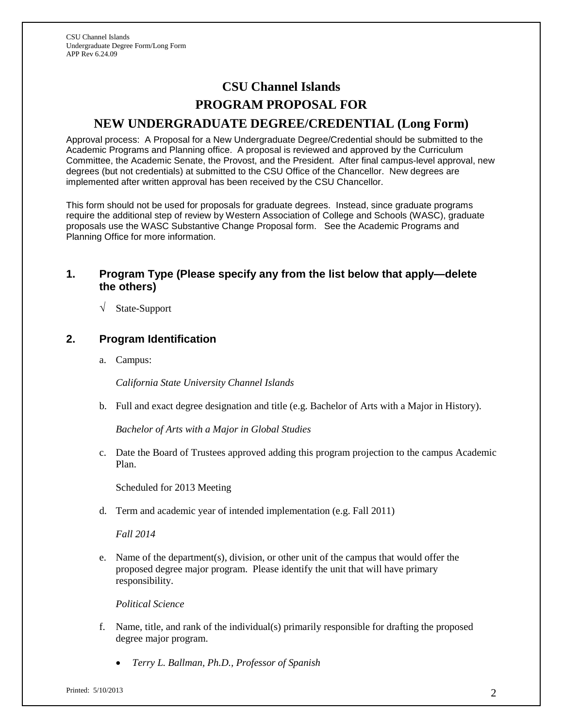# **CSU Channel Islands PROGRAM PROPOSAL FOR NEW UNDERGRADUATE DEGREE/CREDENTIAL (Long Form)**

Approval process: A Proposal for a New Undergraduate Degree/Credential should be submitted to the Academic Programs and Planning office. A proposal is reviewed and approved by the Curriculum Committee, the Academic Senate, the Provost, and the President. After final campus-level approval, new degrees (but not credentials) at submitted to the CSU Office of the Chancellor. New degrees are implemented after written approval has been received by the CSU Chancellor.

This form should not be used for proposals for graduate degrees. Instead, since graduate programs require the additional step of review by Western Association of College and Schools (WASC), graduate proposals use the WASC Substantive Change Proposal form. See the Academic Programs and Planning Office for more information.

# **1. Program Type (Please specify any from the list below that apply—delete the others)**

√ State-Support

# **2. Program Identification**

a. Campus:

*California State University Channel Islands*

b. Full and exact degree designation and title (e.g. Bachelor of Arts with a Major in History).

*Bachelor of Arts with a Major in Global Studies*

c. Date the Board of Trustees approved adding this program projection to the campus Academic Plan.

Scheduled for 2013 Meeting

d. Term and academic year of intended implementation (e.g. Fall 2011)

*Fall 2014*

e. Name of the department(s), division, or other unit of the campus that would offer the proposed degree major program. Please identify the unit that will have primary responsibility.

*Political Science*

- f. Name, title, and rank of the individual(s) primarily responsible for drafting the proposed degree major program.
	- *Terry L. Ballman, Ph.D., Professor of Spanish*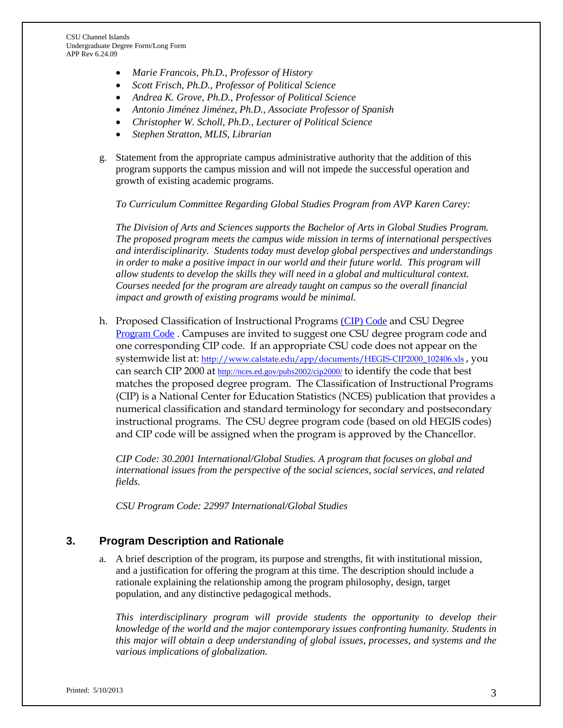- *Marie Francois, Ph.D., Professor of History*
- *Scott Frisch, Ph.D., Professor of Political Science*
- *Andrea K. Grove, Ph.D., Professor of Political Science*
- *Antonio Jiménez Jiménez, Ph.D., Associate Professor of Spanish*
- *Christopher W. Scholl, Ph.D., Lecturer of Political Science*
- *Stephen Stratton, MLIS, Librarian*
- g. Statement from the appropriate campus administrative authority that the addition of this program supports the campus mission and will not impede the successful operation and growth of existing academic programs.

*To Curriculum Committee Regarding Global Studies Program from AVP Karen Carey:*

*The Division of Arts and Sciences supports the Bachelor of Arts in Global Studies Program. The proposed program meets the campus wide mission in terms of international perspectives and interdisciplinarity. Students today must develop global perspectives and understandings in order to make a positive impact in our world and their future world. This program will allow students to develop the skills they will need in a global and multicultural context. Courses needed for the program are already taught on campus so the overall financial impact and growth of existing programs would be minimal.* 

h. Proposed Classification of Instructional Programs [\(CIP\) Code](http://nces.ed.gov/pubs2002/cip2000/) and CSU Degree [Program Code](http://www.calstate.edu/app/documents/HEGIS-CIP2000_102406.xls) . Campuses are invited to suggest one CSU degree program code and one corresponding CIP code. If an appropriate CSU code does not appear on the systemwide list at: [http://www.calstate.edu/app/documents/HEGIS-CIP2000\\_102406.xls](http://www.calstate.edu/app/documents/HEGIS-CIP2000_102406.xls) , you can search CIP 2000 at <http://nces.ed.gov/pubs2002/cip2000/> to identify the code that best matches the proposed degree program. The Classification of Instructional Programs (CIP) is a National Center for Education Statistics (NCES) publication that provides a numerical classification and standard terminology for secondary and postsecondary instructional programs. The CSU degree program code (based on old HEGIS codes) and CIP code will be assigned when the program is approved by the Chancellor.

*CIP Code: 30.2001 International/Global Studies. A program that focuses on global and international issues from the perspective of the social sciences, social services, and related fields.*

*CSU Program Code: 22997 International/Global Studies*

# **3. Program Description and Rationale**

a. A brief description of the program, its purpose and strengths, fit with institutional mission, and a justification for offering the program at this time. The description should include a rationale explaining the relationship among the program philosophy, design, target population, and any distinctive pedagogical methods.

*This interdisciplinary program will provide students the opportunity to develop their knowledge of the world and the major contemporary issues confronting humanity. Students in this major will obtain a deep understanding of global issues, processes, and systems and the various implications of globalization.*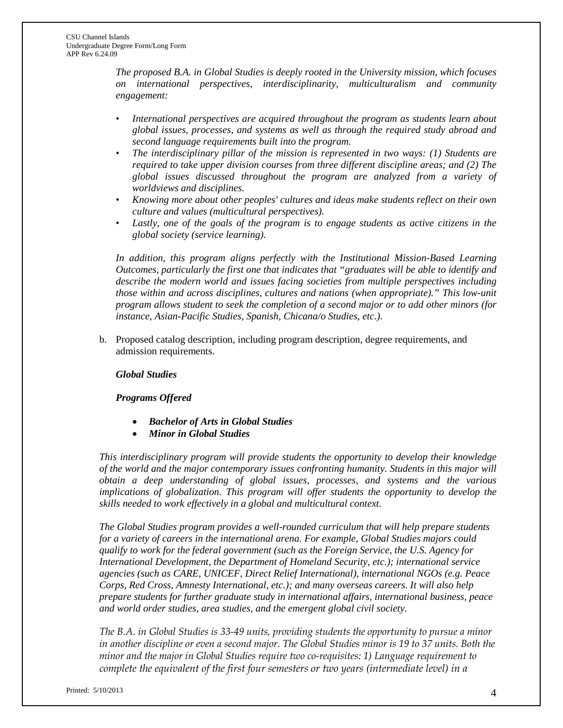*The proposed B.A. in Global Studies is deeply rooted in the University mission, which focuses on international perspectives, interdisciplinarity, multiculturalism and community engagement:*

- *International perspectives are acquired throughout the program as students learn about global issues, processes, and systems as well as through the required study abroad and second language requirements built into the program.*
- *The interdisciplinary pillar of the mission is represented in two ways: (1) Students are required to take upper division courses from three different discipline areas; and (2) The global issues discussed throughout the program are analyzed from a variety of worldviews and disciplines.*
- *Knowing more about other peoples' cultures and ideas make students reflect on their own culture and values (multicultural perspectives).*
- *Lastly, one of the goals of the program is to engage students as active citizens in the global society (service learning).*

*In addition, this program aligns perfectly with the Institutional Mission-Based Learning Outcomes, particularly the first one that indicates that "graduates will be able to identify and describe the modern world and issues facing societies from multiple perspectives including those within and across disciplines, cultures and nations (when appropriate)." This low-unit program allows student to seek the completion of a second major or to add other minors (for instance, Asian-Pacific Studies, Spanish, Chicana/o Studies, etc.).*

b. Proposed catalog description, including program description, degree requirements, and admission requirements.

# *Global Studies*

## *Programs Offered*

- *Bachelor of Arts in Global Studies*
- *Minor in Global Studies*

*This interdisciplinary program will provide students the opportunity to develop their knowledge of the world and the major contemporary issues confronting humanity. Students in this major will obtain a deep understanding of global issues, processes, and systems and the various implications of globalization. This program will offer students the opportunity to develop the skills needed to work effectively in a global and multicultural context.*

*The Global Studies program provides a well-rounded curriculum that will help prepare students for a variety of careers in the international arena. For example, Global Studies majors could qualify to work for the federal government (such as the Foreign Service, the U.S. Agency for International Development, the Department of Homeland Security, etc.); international service agencies (such as CARE, UNICEF, Direct Relief International), international NGOs (e.g. Peace Corps, Red Cross, Amnesty International, etc.); and many overseas careers. It will also help prepare students for further graduate study in international affairs, international business, peace and world order studies, area studies, and the emergent global civil society.*

*The B.A. in Global Studies is 33-49 units, providing students the opportunity to pursue a minor in another discipline or even a second major. The Global Studies minor is 19 to 37 units. Both the minor and the major in Global Studies require two co-requisites: 1) Language requirement to complete the equivalent of the first four semesters or two years (intermediate level) in a*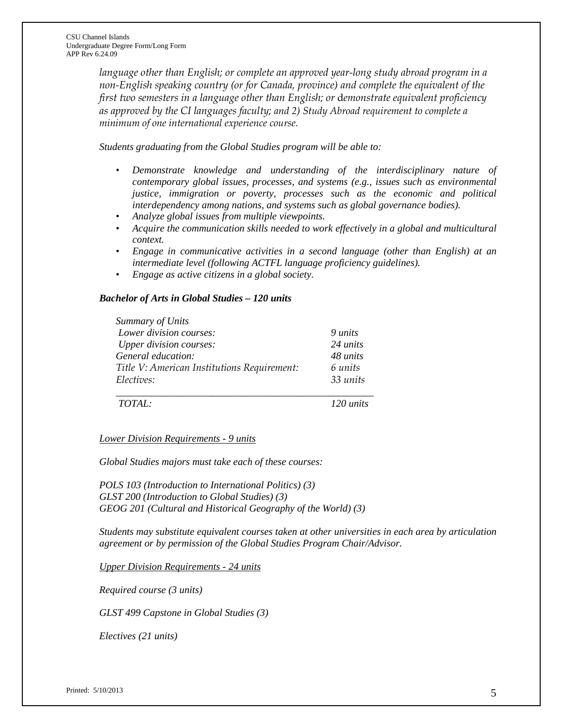*language other than English; or complete an approved year-long study abroad program in a non-English speaking country (or for Canada, province) and complete the equivalent of the first two semesters in a language other than English; or* d*emonstrate equivalent proficiency as approved by the CI languages faculty; and 2) Study Abroad requirement to complete a minimum of one international experience course.*

*Students graduating from the Global Studies program will be able to:*

- Demonstrate knowledge and understanding of the interdisciplinary nature of *contemporary global issues, processes, and systems (e.g., issues such as environmental justice, immigration or poverty, processes such as the economic and political interdependency among nations, and systems such as global governance bodies).*
- *• Analyze global issues from multiple viewpoints.*
- *• Acquire the communication skills needed to work effectively in a global and multicultural context.*
- *• Engage in communicative activities in a second language (other than English) at an intermediate level (following ACTFL language proficiency guidelines).*
- *• Engage as active citizens in a global society.*

## *Bachelor of Arts in Global Studies – 120 units*

| Summary of Units                            |          |
|---------------------------------------------|----------|
| Lower division courses:                     | 9 units  |
| <b>Upper division courses:</b>              | 24 units |
| General education:                          | 48 units |
| Title V: American Institutions Requirement: | 6 units  |
| Electives:                                  | 33 units |
|                                             |          |

*TOTAL: 120 units*

*Lower Division Requirements - 9 units*

*Global Studies majors must take each of these courses:*

*POLS 103 (Introduction to International Politics) (3) GLST 200 (Introduction to Global Studies) (3) GEOG 201 (Cultural and Historical Geography of the World) (3)*

*Students may substitute equivalent courses taken at other universities in each area by articulation agreement or by permission of the Global Studies Program Chair/Advisor.*

*Upper Division Requirements - 24 units*

*Required course (3 units)*

*GLST 499 Capstone in Global Studies (3)*

*Electives (21 units)*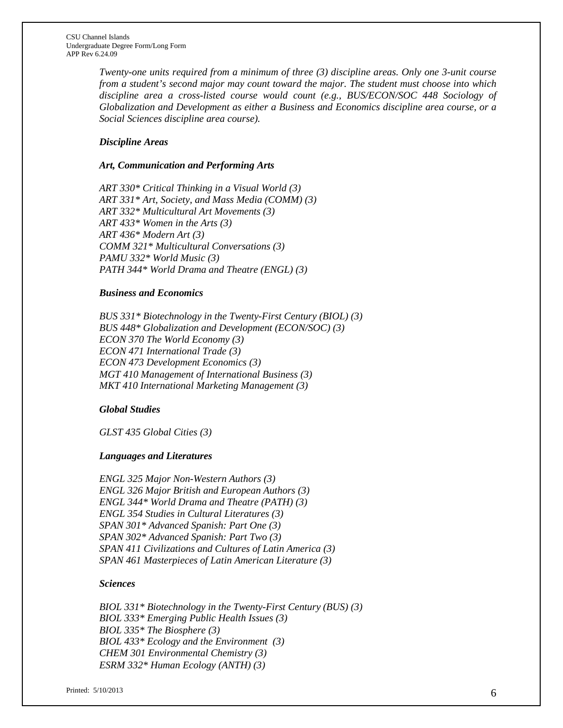*Twenty-one units required from a minimum of three (3) discipline areas. Only one 3-unit course from a student's second major may count toward the major. The student must choose into which discipline area a cross-listed course would count (e.g., BUS/ECON/SOC 448 Sociology of Globalization and Development as either a Business and Economics discipline area course, or a Social Sciences discipline area course).*

## *Discipline Areas*

#### *Art, Communication and Performing Arts*

*ART 330\* Critical Thinking in a Visual World (3) ART 331\* Art, Society, and Mass Media (COMM) (3) ART 332\* Multicultural Art Movements (3) ART 433\* Women in the Arts (3) ART 436\* Modern Art (3) COMM 321\* Multicultural Conversations (3) PAMU 332\* World Music (3) PATH 344\* World Drama and Theatre (ENGL) (3)*

#### *Business and Economics*

*BUS 331\* Biotechnology in the Twenty-First Century (BIOL) (3) BUS 448\* Globalization and Development (ECON/SOC) (3) ECON 370 The World Economy (3) ECON 471 International Trade (3) ECON 473 Development Economics (3) MGT 410 Management of International Business (3) MKT 410 International Marketing Management (3)*

#### *Global Studies*

*GLST 435 Global Cities (3)*

#### *Languages and Literatures*

*ENGL 325 Major Non-Western Authors (3) ENGL 326 Major British and European Authors (3) ENGL 344\* World Drama and Theatre (PATH) (3) ENGL 354 Studies in Cultural Literatures (3) SPAN 301\* Advanced Spanish: Part One (3) SPAN 302\* Advanced Spanish: Part Two (3) SPAN 411 Civilizations and Cultures of Latin America (3) SPAN 461 Masterpieces of Latin American Literature (3)*

#### *Sciences*

*BIOL 331\* Biotechnology in the Twenty-First Century (BUS) (3) BIOL 333\* Emerging Public Health Issues (3) BIOL 335\* The Biosphere (3) BIOL 433\* Ecology and the Environment (3) CHEM 301 Environmental Chemistry (3) ESRM 332\* Human Ecology (ANTH) (3)*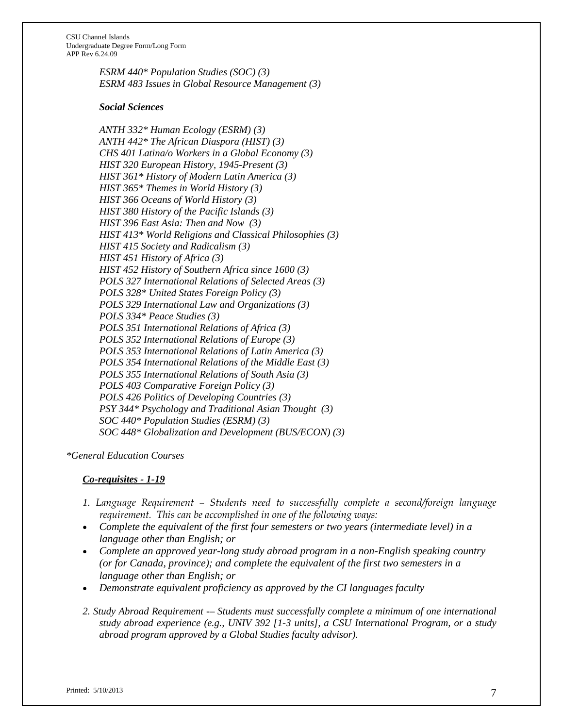> *ESRM 440\* Population Studies (SOC) (3) ESRM 483 Issues in Global Resource Management (3)*

#### *Social Sciences*

*ANTH 332\* Human Ecology (ESRM) (3) ANTH 442\* The African Diaspora (HIST) (3) CHS 401 Latina/o Workers in a Global Economy (3) HIST 320 European History, 1945-Present (3) HIST 361\* History of Modern Latin America (3) HIST 365\* Themes in World History (3) HIST 366 Oceans of World History (3) HIST 380 History of the Pacific Islands (3) HIST 396 East Asia: Then and Now (3) HIST 413\* World Religions and Classical Philosophies (3) HIST 415 Society and Radicalism (3) HIST 451 History of Africa (3) HIST 452 History of Southern Africa since 1600 (3) POLS 327 International Relations of Selected Areas (3) POLS 328\* United States Foreign Policy (3) POLS 329 International Law and Organizations (3) POLS 334\* Peace Studies (3) POLS 351 International Relations of Africa (3) POLS 352 International Relations of Europe (3) POLS 353 International Relations of Latin America (3) POLS 354 International Relations of the Middle East (3) POLS 355 International Relations of South Asia (3) POLS 403 Comparative Foreign Policy (3) POLS 426 Politics of Developing Countries (3) PSY 344\* Psychology and Traditional Asian Thought (3) SOC 440\* Population Studies (ESRM) (3) SOC 448\* Globalization and Development (BUS/ECON) (3)*

*\*General Education Courses*

## *Co-requisites - 1-19*

- *1. Language Requirement – Students need to successfully complete a second/foreign language requirement. This can be accomplished in one of the following ways:*
- *Complete the equivalent of the first four semesters or two years (intermediate level) in a language other than English; or*
- *Complete an approved year-long study abroad program in a non-English speaking country (or for Canada, province); and complete the equivalent of the first two semesters in a language other than English; or*
- *Demonstrate equivalent proficiency as approved by the CI languages faculty*
- *2. Study Abroad Requirement -– Students must successfully complete a minimum of one international study abroad experience (e.g., UNIV 392 [1-3 units], a CSU International Program, or a study abroad program approved by a Global Studies faculty advisor).*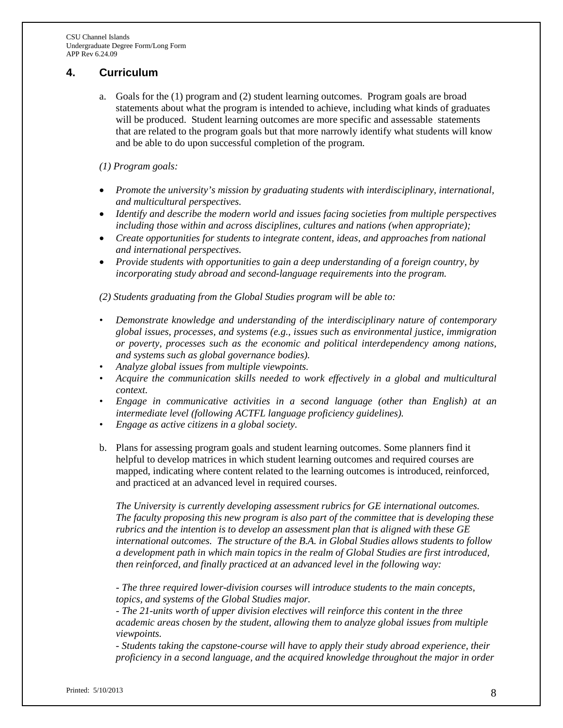# **4. Curriculum**

a. Goals for the (1) program and (2) [student learning outcomes.](http://www.calstate.edu/acadaff/sloa/index.shtml) Program goals are broad statements about what the program is intended to achieve, including what kinds of graduates will be produced. Student learning outcomes are more specific and assessable statements that are related to the program goals but that more narrowly identify what students will know and be able to do upon successful completion of the program.

## *(1) Program goals:*

- *Promote the university's mission by graduating students with interdisciplinary, international, and multicultural perspectives.*
- *Identify and describe the modern world and issues facing societies from multiple perspectives including those within and across disciplines, cultures and nations (when appropriate);*
- *Create opportunities for students to integrate content, ideas, and approaches from national and international perspectives.*
- *Provide students with opportunities to gain a deep understanding of a foreign country, by incorporating study abroad and second-language requirements into the program.*

*(2) Students graduating from the Global Studies program will be able to:*

- *• Demonstrate knowledge and understanding of the interdisciplinary nature of contemporary global issues, processes, and systems (e.g., issues such as environmental justice, immigration or poverty, processes such as the economic and political interdependency among nations, and systems such as global governance bodies).*
- *• Analyze global issues from multiple viewpoints.*
- Acquire the communication skills needed to work effectively in a global and multicultural *context.*
- *• Engage in communicative activities in a second language (other than English) at an intermediate level (following ACTFL language proficiency guidelines).*
- *• Engage as active citizens in a global society.*
- b. Plans for assessing program goals and student learning outcomes. Some planners find it helpful to develop matrices in which student learning outcomes and required courses are mapped, indicating where content related to the learning outcomes is introduced, reinforced, and practiced at an advanced level in required courses.

*The University is currently developing assessment rubrics for GE international outcomes. The faculty proposing this new program is also part of the committee that is developing these rubrics and the intention is to develop an assessment plan that is aligned with these GE international outcomes. The structure of the B.A. in Global Studies allows students to follow a development path in which main topics in the realm of Global Studies are first introduced, then reinforced, and finally practiced at an advanced level in the following way:*

*- The three required lower-division courses will introduce students to the main concepts, topics, and systems of the Global Studies major.* 

*- The 21-units worth of upper division electives will reinforce this content in the three academic areas chosen by the student, allowing them to analyze global issues from multiple viewpoints.*

*- Students taking the capstone-course will have to apply their study abroad experience, their proficiency in a second language, and the acquired knowledge throughout the major in order*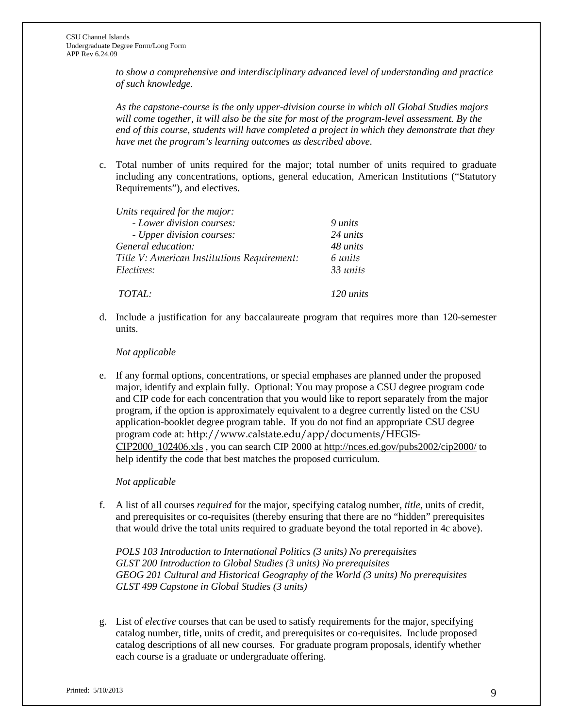*to show a comprehensive and interdisciplinary advanced level of understanding and practice of such knowledge.* 

*As the capstone-course is the only upper-division course in which all Global Studies majors will come together, it will also be the site for most of the program-level assessment. By the end of this course, students will have completed a project in which they demonstrate that they have met the program's learning outcomes as described above.* 

c. Total number of units required for the major; total number of units required to graduate including any concentrations, options, general education, American Institutions ("Statutory Requirements"), and electives.

*Units required for the major:* 

| - Lower division courses:                   | 9 units         |
|---------------------------------------------|-----------------|
| - Upper division courses:                   | 24 <i>units</i> |
| General education:                          | 48 units        |
| Title V: American Institutions Requirement: | 6 units         |
| <i>Electives:</i>                           | 33 units        |
| <i>TOTAL:</i>                               | 120 units       |

d. Include a justification for any baccalaureate program that requires more than 120-semester units.

## *Not applicable*

e. If any formal options, concentrations, or special emphases are planned under the proposed major, identify and explain fully. Optional: You may propose a CSU degree program code and CIP code for each concentration that you would like to report separately from the major program, if the option is approximately equivalent to a degree currently listed on the CSU application-booklet degree program table. If you do not find an appropriate CSU degree program code at: [http://www.calstate.edu/app/documents/HEGIS-](http://www.calstate.edu/app/documents/HEGIS-CIP2000_102406.xls)[CIP2000\\_102406.xls](http://www.calstate.edu/app/documents/HEGIS-CIP2000_102406.xls) , you can search CIP 2000 at<http://nces.ed.gov/pubs2002/cip2000/> to help identify the code that best matches the proposed curriculum.

## *Not applicable*

f. A list of all courses *required* for the major, specifying catalog number, *title*, units of credit, and prerequisites or co-requisites (thereby ensuring that there are no "hidden" prerequisites that would drive the total units required to graduate beyond the total reported in 4c above).

*POLS 103 Introduction to International Politics (3 units) No prerequisites GLST 200 Introduction to Global Studies (3 units) No prerequisites GEOG 201 Cultural and Historical Geography of the World (3 units) No prerequisites GLST 499 Capstone in Global Studies (3 units)* 

g. List of *elective* courses that can be used to satisfy requirements for the major, specifying catalog number, title, units of credit, and prerequisites or co-requisites. Include proposed catalog descriptions of all new courses. For graduate program proposals, identify whether each course is a graduate or undergraduate offering.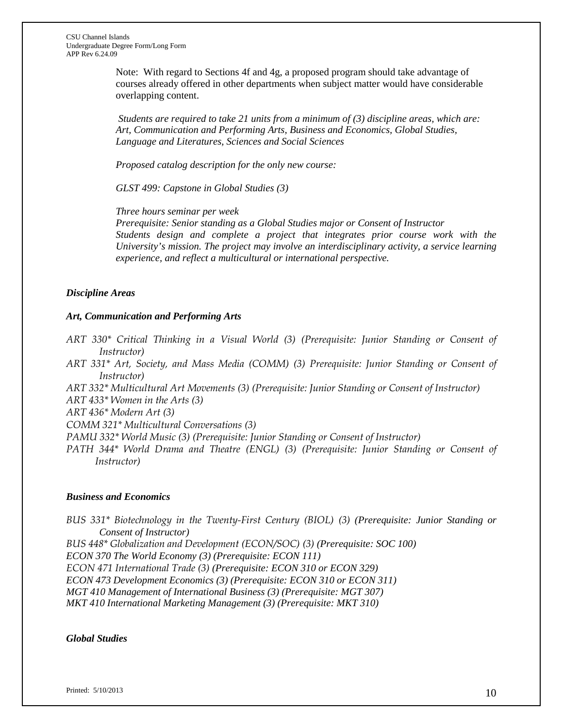Note: With regard to Sections 4f and 4g, a proposed program should take advantage of courses already offered in other departments when subject matter would have considerable overlapping content.

*Students are required to take 21 units from a minimum of (3) discipline areas, which are: Art, Communication and Performing Arts, Business and Economics, Global Studies, Language and Literatures, Sciences and Social Sciences*

*Proposed catalog description for the only new course:*

*GLST 499: Capstone in Global Studies (3)*

*Three hours seminar per week*

*Prerequisite: Senior standing as a Global Studies major or Consent of Instructor Students design and complete a project that integrates prior course work with the University's mission. The project may involve an interdisciplinary activity, a service learning experience, and reflect a multicultural or international perspective.*

# *Discipline Areas*

## *Art, Communication and Performing Arts*

- *ART 330\* Critical Thinking in a Visual World (3) (Prerequisite: Junior Standing or Consent of Instructor)*
- *ART 331\* Art, Society, and Mass Media (COMM) (3) Prerequisite: Junior Standing or Consent of Instructor)*
- *ART 332\* Multicultural Art Movements (3) (Prerequisite: Junior Standing or Consent of Instructor)*

*ART 433\* Women in the Arts (3)*

*ART 436\* Modern Art (3)*

*COMM 321\* Multicultural Conversations (3)*

- *PAMU 332\* World Music (3) (Prerequisite: Junior Standing or Consent of Instructor)*
- *PATH 344\* World Drama and Theatre (ENGL) (3) (Prerequisite: Junior Standing or Consent of Instructor)*

#### *Business and Economics*

*BUS 331\* Biotechnology in the Twenty-First Century (BIOL) (3) (Prerequisite: Junior Standing or Consent of Instructor)*

*BUS 448\* Globalization and Development (ECON/SOC) (3) (Prerequisite: SOC 100)*

*ECON 370 The World Economy (3) (Prerequisite: ECON 111)*

*ECON 471 International Trade (3) (Prerequisite: ECON 310 or ECON 329)*

*ECON 473 Development Economics (3) (Prerequisite: ECON 310 or ECON 311)*

*MGT 410 Management of International Business (3) (Prerequisite: MGT 307)*

*MKT 410 International Marketing Management (3) (Prerequisite: MKT 310)*

*Global Studies*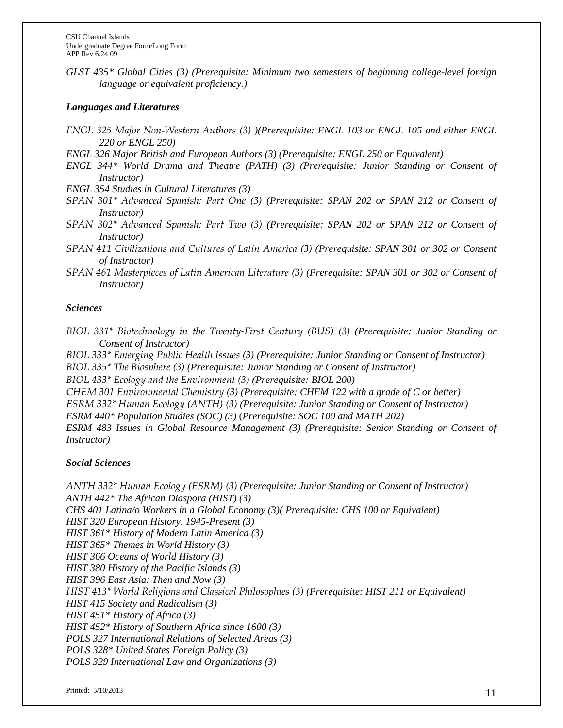*GLST 435\* Global Cities (3) (Prerequisite: Minimum two semesters of beginning college-level foreign language or equivalent proficiency.)*

## *Languages and Literatures*

- *ENGL 325 Major Non-Western Authors (3) )(Prerequisite: ENGL 103 or ENGL 105 and either ENGL 220 or ENGL 250)*
- *ENGL 326 Major British and European Authors (3) (Prerequisite: ENGL 250 or Equivalent)*
- *ENGL 344\* World Drama and Theatre (PATH) (3) (Prerequisite: Junior Standing or Consent of Instructor)*
- *ENGL 354 Studies in Cultural Literatures (3)*
- *SPAN 301\* Advanced Spanish: Part One (3) (Prerequisite: SPAN 202 or SPAN 212 or Consent of Instructor)*
- *SPAN 302\* Advanced Spanish: Part Two (3) (Prerequisite: SPAN 202 or SPAN 212 or Consent of Instructor)*
- *SPAN 411 Civilizations and Cultures of Latin America (3) (Prerequisite: SPAN 301 or 302 or Consent of Instructor)*
- *SPAN 461 Masterpieces of Latin American Literature (3) (Prerequisite: SPAN 301 or 302 or Consent of Instructor)*

## *Sciences*

*BIOL 331\* Biotechnology in the Twenty-First Century (BUS) (3) (Prerequisite: Junior Standing or Consent of Instructor)*

*BIOL 333\* Emerging Public Health Issues (3) (Prerequisite: Junior Standing or Consent of Instructor) BIOL 335\* The Biosphere (3) (Prerequisite: Junior Standing or Consent of Instructor)*

*BIOL 433\* Ecology and the Environment (3) (Prerequisite: BIOL 200)*

*CHEM 301 Environmental Chemistry (3) (Prerequisite: CHEM 122 with a grade of C or better)*

*ESRM 332\* Human Ecology (ANTH) (3) (Prerequisite: Junior Standing or Consent of Instructor)*

*ESRM 440\* Population Studies (SOC) (3)* (*Prerequisite: SOC 100 and MATH 202)*

*ESRM 483 Issues in Global Resource Management (3) (Prerequisite: Senior Standing or Consent of Instructor)*

## *Social Sciences*

*ANTH 332\* Human Ecology (ESRM) (3) (Prerequisite: Junior Standing or Consent of Instructor) ANTH 442\* The African Diaspora (HIST) (3) CHS 401 Latina/o Workers in a Global Economy (3)( Prerequisite: CHS 100 or Equivalent) HIST 320 European History, 1945-Present (3) HIST 361\* History of Modern Latin America (3) HIST 365\* Themes in World History (3) HIST 366 Oceans of World History (3) HIST 380 History of the Pacific Islands (3) HIST 396 East Asia: Then and Now (3) HIST 413\* World Religions and Classical Philosophies (3) (Prerequisite: HIST 211 or Equivalent) HIST 415 Society and Radicalism (3) HIST 451\* History of Africa (3) HIST 452\* History of Southern Africa since 1600 (3) POLS 327 International Relations of Selected Areas (3) POLS 328\* United States Foreign Policy (3) POLS 329 International Law and Organizations (3)*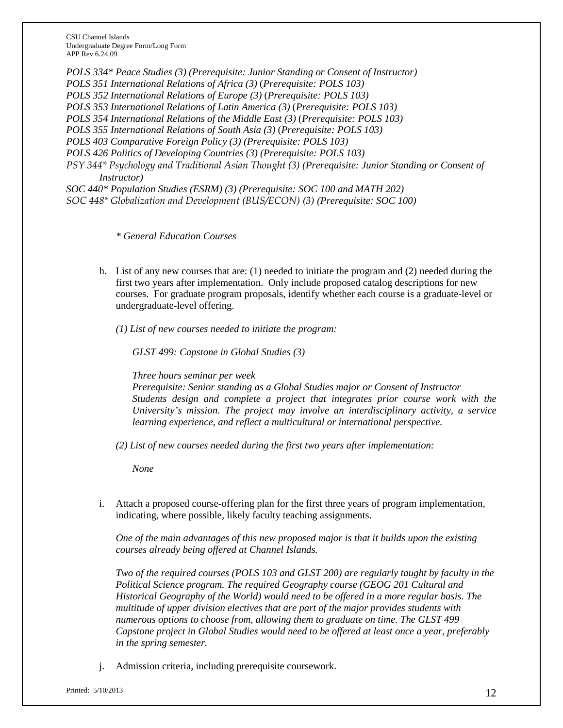*POLS 334\* Peace Studies (3) (Prerequisite: Junior Standing or Consent of Instructor) POLS 351 International Relations of Africa (3)* (*Prerequisite: POLS 103) POLS 352 International Relations of Europe (3)* (*Prerequisite: POLS 103) POLS 353 International Relations of Latin America (3)* (*Prerequisite: POLS 103) POLS 354 International Relations of the Middle East (3)* (*Prerequisite: POLS 103) POLS 355 International Relations of South Asia (3)* (*Prerequisite: POLS 103) POLS 403 Comparative Foreign Policy (3) (Prerequisite: POLS 103) POLS 426 Politics of Developing Countries (3) (Prerequisite: POLS 103) PSY 344\* Psychology and Traditional Asian Thought (3) (Prerequisite: Junior Standing or Consent of Instructor) SOC 440\* Population Studies (ESRM) (3) (Prerequisite: SOC 100 and MATH 202) SOC 448\* Globalization and Development (BUS/ECON) (3) (Prerequisite: SOC 100)*

*\* General Education Courses*

- h. List of any new courses that are: (1) needed to initiate the program and (2) needed during the first two years after implementation. Only include proposed catalog descriptions for new courses. For graduate program proposals, identify whether each course is a graduate-level or undergraduate-level offering.
	- *(1) List of new courses needed to initiate the program:*

*GLST 499: Capstone in Global Studies (3)*

*Three hours seminar per week*

*Prerequisite: Senior standing as a Global Studies major or Consent of Instructor Students design and complete a project that integrates prior course work with the University's mission. The project may involve an interdisciplinary activity, a service learning experience, and reflect a multicultural or international perspective.*

*(2) List of new courses needed during the first two years after implementation:*

*None*

i. Attach a proposed course-offering plan for the first three years of program implementation, indicating, where possible, likely faculty teaching assignments.

*One of the main advantages of this new proposed major is that it builds upon the existing courses already being offered at Channel Islands.* 

*Two of the required courses (POLS 103 and GLST 200) are regularly taught by faculty in the Political Science program. The required Geography course (GEOG 201 Cultural and Historical Geography of the World) would need to be offered in a more regular basis. The multitude of upper division electives that are part of the major provides students with numerous options to choose from, allowing them to graduate on time. The GLST 499 Capstone project in Global Studies would need to be offered at least once a year, preferably in the spring semester.* 

j. Admission criteria, including prerequisite coursework.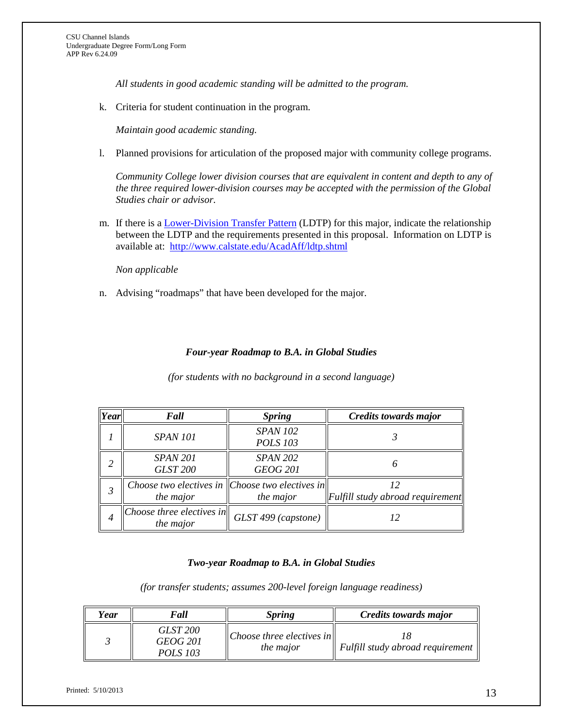*All students in good academic standing will be admitted to the program.* 

k. Criteria for student continuation in the program.

*Maintain good academic standing.*

l. Planned provisions for articulation of the proposed major with community college programs.

*Community College lower division courses that are equivalent in content and depth to any of the three required lower-division courses may be accepted with the permission of the Global Studies chair or advisor.* 

m. If there is a [Lower-Division Transfer Pattern](http://www.calstate.edu/AcadAff/ldtp.shtml) (LDTP) for this major, indicate the relationship between the LDTP and the requirements presented in this proposal. Information on LDTP is available at: <http://www.calstate.edu/AcadAff/ldtp.shtml>

*Non applicable*

n. Advising "roadmaps" that have been developed for the major.

## *Four-year Roadmap to B.A. in Global Studies*

*(for students with no background in a second language)* 

| $\lvert Year \rvert$ | Fall                                                                 | <b>Spring</b>                      | <b>Credits towards major</b>                     |
|----------------------|----------------------------------------------------------------------|------------------------------------|--------------------------------------------------|
|                      | <b>SPAN 101</b>                                                      | <b>SPAN 102</b><br><b>POLS 103</b> |                                                  |
| 2                    | <b>SPAN 201</b><br><b>GLST 200</b>                                   | <b>SPAN 202</b><br><b>GEOG 201</b> |                                                  |
|                      | Choose two electives in $ $ Choose two electives in $ $<br>the major | the major                          | $\Vert$ Fulfill study abroad requirement $\Vert$ |
| 4                    | $ Choose\ $ three electives in<br>the major                          | GLST 499 (capstone)                | 12                                               |

#### *Two-year Roadmap to B.A. in Global Studies*

*(for transfer students; assumes 200-level foreign language readiness)*

| Year | Fall                                                  | <i>Spring</i>                                           | Credits towards major                        |
|------|-------------------------------------------------------|---------------------------------------------------------|----------------------------------------------|
|      | <b>GLST 200</b><br><i>GEOG 201</i><br><i>POLS 103</i> | $\ $ Choose three electives in $\ $<br><i>the major</i> | Fulfill study abroad requirement $\parallel$ |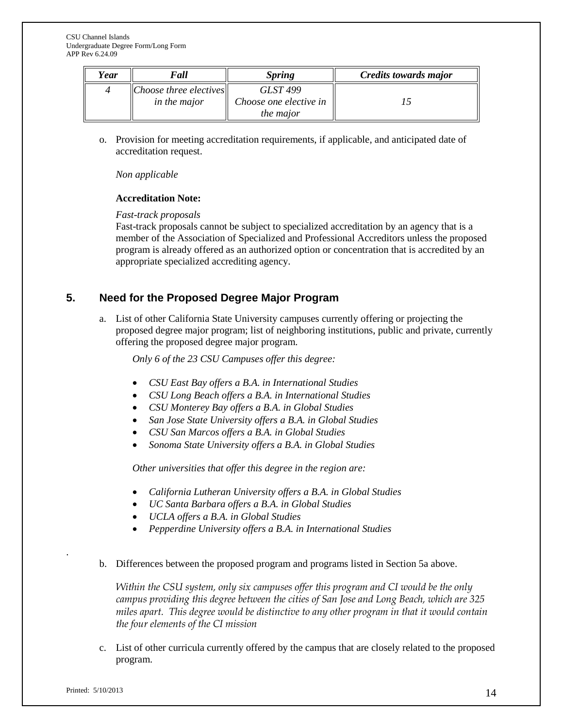| Year | Fall                                                 | <i>Spring</i>                                          | Credits towards major |
|------|------------------------------------------------------|--------------------------------------------------------|-----------------------|
|      | $ Choose\, three\,electives $<br><i>in the major</i> | GLST 499<br>Choose one elective in<br><i>the major</i> |                       |

o. Provision for meeting accreditation requirements, if applicable, and anticipated date of accreditation request.

*Non applicable*

## **Accreditation Note:**

## *Fast-track proposals*

Fast-track proposals cannot be subject to specialized accreditation by an agency that is a member of the Association of Specialized and Professional Accreditors unless the proposed program is already offered as an authorized option or concentration that is accredited by an appropriate specialized accrediting agency.

# **5. Need for the Proposed Degree Major Program**

a. List of other California State University campuses currently offering or projecting the proposed degree major program; list of neighboring institutions, public and private, currently offering the proposed degree major program.

*Only 6 of the 23 CSU Campuses offer this degree:*

- *CSU East Bay offers a B.A. in International Studies*
- *CSU Long Beach offers a B.A. in International Studies*
- *CSU Monterey Bay offers a B.A. in Global Studies*
- *San Jose State University offers a B.A. in Global Studies*
- *CSU San Marcos offers a B.A. in Global Studies*
- *Sonoma State University offers a B.A. in Global Studies*

*Other universities that offer this degree in the region are:*

- *California Lutheran University offers a B.A. in Global Studies*
- *UC Santa Barbara offers a B.A. in Global Studies*
- *UCLA offers a B.A. in Global Studies*
- *Pepperdine University offers a B.A. in International Studies*
- b. Differences between the proposed program and programs listed in Section 5a above.

*Within the CSU system, only six campuses offer this program and CI would be the only campus providing this degree between the cities of San Jose and Long Beach, which are 325 miles apart. This degree would be distinctive to any other program in that it would contain the four elements of the CI mission*

c. List of other curricula currently offered by the campus that are closely related to the proposed program.

.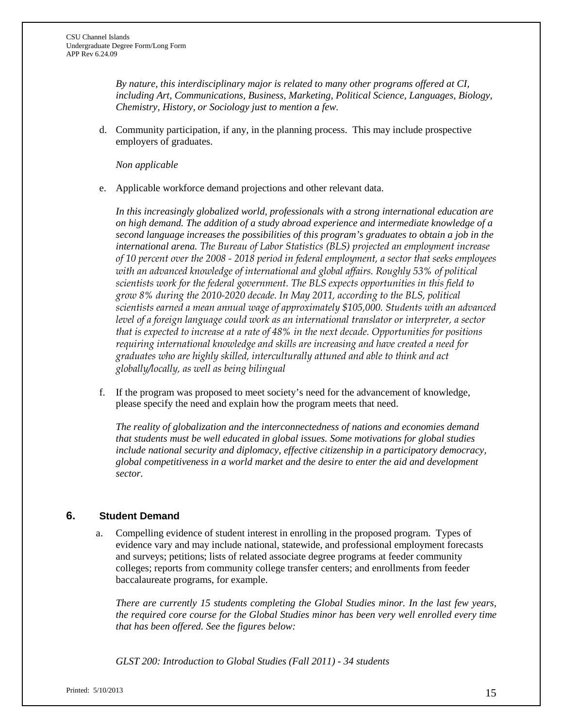*By nature, this interdisciplinary major is related to many other programs offered at CI, including Art, Communications, Business, Marketing, Political Science, Languages, Biology, Chemistry, History, or Sociology just to mention a few.* 

d. Community participation, if any, in the planning process. This may include prospective employers of graduates.

*Non applicable*

e. Applicable workforce demand projections and other relevant data.

*In this increasingly globalized world, professionals with a strong international education are on high demand. The addition of a study abroad experience and intermediate knowledge of a second language increases the possibilities of this program's graduates to obtain a job in the international arena. The Bureau of Labor Statistics (BLS) projected an employment increase of 10 percent over the 2008 - 2018 period in federal employment, a sector that seeks employees with an advanced knowledge of international and global affairs. Roughly 53% of political scientists work for the federal government. The BLS expects opportunities in this field to grow 8% during the 2010-2020 decade. In May 2011, according to the BLS, political scientists earned a mean annual wage of approximately \$105,000. Students with an advanced level of a foreign language could work as an international translator or interpreter, a sector that is expected to increase at a rate of 48% in the next decade. Opportunities for positions requiring international knowledge and skills are increasing and have created a need for graduates who are highly skilled, interculturally attuned and able to think and act globally/locally, as well as being bilingual*

f. If the program was proposed to meet society's need for the advancement of knowledge, please specify the need and explain how the program meets that need.

*The reality of globalization and the interconnectedness of nations and economies demand that students must be well educated in global issues. Some motivations for global studies include national security and diplomacy, effective citizenship in a participatory democracy, global competitiveness in a world market and the desire to enter the aid and development sector.*

# **6. Student Demand**

a. Compelling evidence of student interest in enrolling in the proposed program. Types of evidence vary and may include national, statewide, and professional employment forecasts and surveys; petitions; lists of related associate degree programs at feeder community colleges; reports from community college transfer centers; and enrollments from feeder baccalaureate programs, for example.

*There are currently 15 students completing the Global Studies minor. In the last few years, the required core course for the Global Studies minor has been very well enrolled every time that has been offered. See the figures below:*

*GLST 200: Introduction to Global Studies (Fall 2011) - 34 students*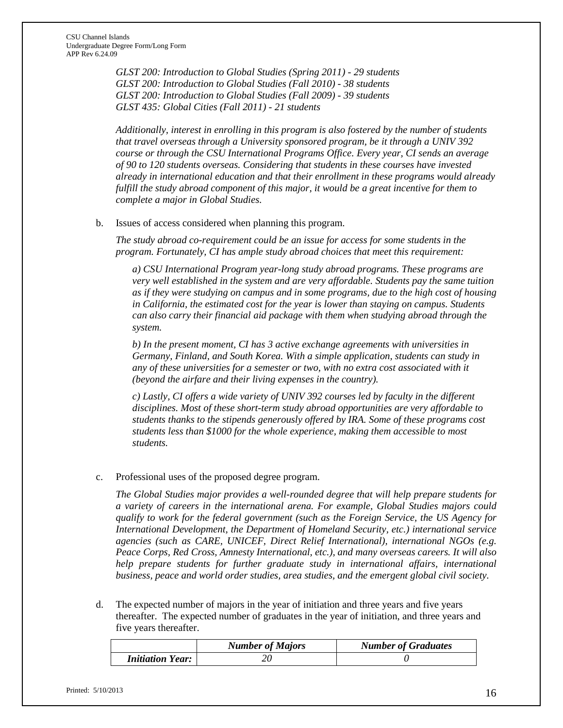*GLST 200: Introduction to Global Studies (Spring 2011) - 29 students GLST 200: Introduction to Global Studies (Fall 2010) - 38 students GLST 200: Introduction to Global Studies (Fall 2009) - 39 students GLST 435: Global Cities (Fall 2011) - 21 students*

*Additionally, interest in enrolling in this program is also fostered by the number of students that travel overseas through a University sponsored program, be it through a UNIV 392 course or through the CSU International Programs Office. Every year, CI sends an average of 90 to 120 students overseas. Considering that students in these courses have invested already in international education and that their enrollment in these programs would already fulfill the study abroad component of this major, it would be a great incentive for them to complete a major in Global Studies.*

#### b. Issues of access considered when planning this program.

*The study abroad co-requirement could be an issue for access for some students in the program. Fortunately, CI has ample study abroad choices that meet this requirement:*

*a) CSU International Program year-long study abroad programs. These programs are very well established in the system and are very affordable. Students pay the same tuition as if they were studying on campus and in some programs, due to the high cost of housing in California, the estimated cost for the year is lower than staying on campus. Students can also carry their financial aid package with them when studying abroad through the system.* 

*b) In the present moment, CI has 3 active exchange agreements with universities in Germany, Finland, and South Korea. With a simple application, students can study in any of these universities for a semester or two, with no extra cost associated with it (beyond the airfare and their living expenses in the country).* 

*c) Lastly, CI offers a wide variety of UNIV 392 courses led by faculty in the different disciplines. Most of these short-term study abroad opportunities are very affordable to students thanks to the stipends generously offered by IRA. Some of these programs cost students less than \$1000 for the whole experience, making them accessible to most students.* 

#### c. Professional uses of the proposed degree program.

*The Global Studies major provides a well-rounded degree that will help prepare students for a variety of careers in the international arena. For example, Global Studies majors could qualify to work for the federal government (such as the Foreign Service, the US Agency for International Development, the Department of Homeland Security, etc.) international service agencies (such as CARE, UNICEF, Direct Relief International), international NGOs (e.g. Peace Corps, Red Cross, Amnesty International, etc.), and many overseas careers. It will also help prepare students for further graduate study in international affairs, international business, peace and world order studies, area studies, and the emergent global civil society.*

d. The expected number of majors in the year of initiation and three years and five years thereafter. The expected number of graduates in the year of initiation, and three years and five years thereafter.

|                                | <b>Number of Majors</b> | <b>Number of Graduates</b> |
|--------------------------------|-------------------------|----------------------------|
| <i><b>Initiation Year:</b></i> |                         |                            |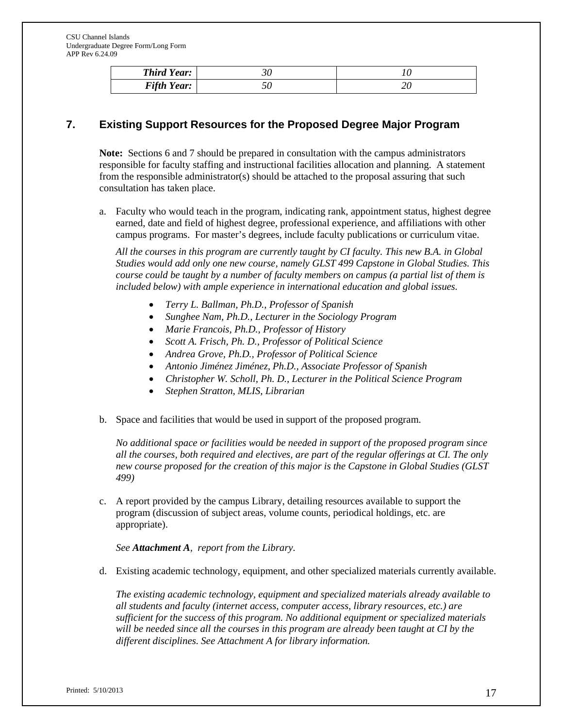| <b>Third Year:</b> |  |
|--------------------|--|
| <b>Fifth Year:</b> |  |

# **7. Existing Support Resources for the Proposed Degree Major Program**

**Note:** Sections 6 and 7 should be prepared in consultation with the campus administrators responsible for faculty staffing and instructional facilities allocation and planning. A statement from the responsible administrator(s) should be attached to the proposal assuring that such consultation has taken place.

a. Faculty who would teach in the program, indicating rank, appointment status, highest degree earned, date and field of highest degree, professional experience, and affiliations with other campus programs. For master's degrees, include faculty publications or curriculum vitae.

*All the courses in this program are currently taught by CI faculty. This new B.A. in Global Studies would add only one new course, namely GLST 499 Capstone in Global Studies. This course could be taught by a number of faculty members on campus (a partial list of them is included below) with ample experience in international education and global issues.* 

- *Terry L. Ballman, Ph.D., Professor of Spanish*
- *Sunghee Nam, Ph.D., Lecturer in the Sociology Program*
- *Marie Francois, Ph.D., Professor of History*
- *Scott A. Frisch, Ph. D., Professor of Political Science*
- *Andrea Grove, Ph.D., Professor of Political Science*
- *Antonio Jiménez Jiménez, Ph.D., Associate Professor of Spanish*
- *Christopher W. Scholl, Ph. D., Lecturer in the Political Science Program*
- *Stephen Stratton, MLIS, Librarian*
- b. Space and facilities that would be used in support of the proposed program.

*No additional space or facilities would be needed in support of the proposed program since all the courses, both required and electives, are part of the regular offerings at CI. The only new course proposed for the creation of this major is the Capstone in Global Studies (GLST 499)*

c. A report provided by the campus Library, detailing resources available to support the program (discussion of subject areas, volume counts, periodical holdings, etc. are appropriate).

*See Attachment A, report from the Library.*

d. Existing academic technology, equipment, and other specialized materials currently available.

*The existing academic technology, equipment and specialized materials already available to all students and faculty (internet access, computer access, library resources, etc.) are sufficient for the success of this program. No additional equipment or specialized materials will be needed since all the courses in this program are already been taught at CI by the different disciplines. See Attachment A for library information.*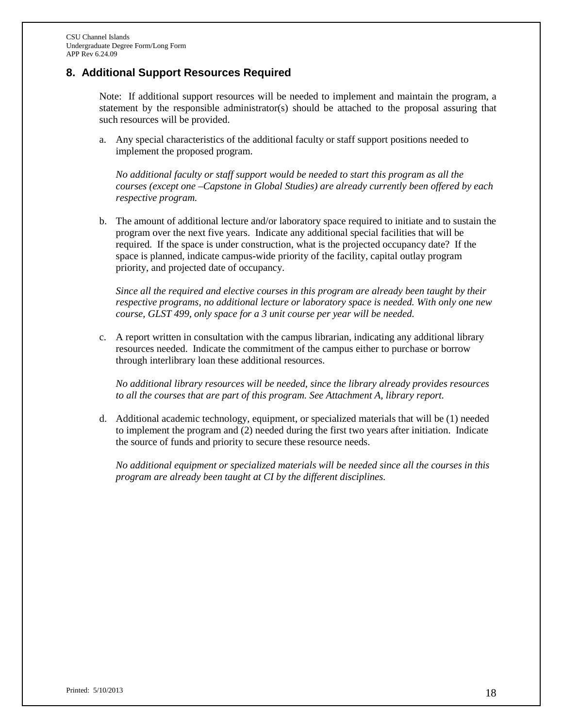# **8. Additional Support Resources Required**

Note: If additional support resources will be needed to implement and maintain the program, a statement by the responsible administrator(s) should be attached to the proposal assuring that such resources will be provided.

a. Any special characteristics of the additional faculty or staff support positions needed to implement the proposed program.

*No additional faculty or staff support would be needed to start this program as all the courses (except one –Capstone in Global Studies) are already currently been offered by each respective program.* 

b. The amount of additional lecture and/or laboratory space required to initiate and to sustain the program over the next five years. Indicate any additional special facilities that will be required. If the space is under construction, what is the projected occupancy date? If the space is planned, indicate campus-wide priority of the facility, capital outlay program priority, and projected date of occupancy.

*Since all the required and elective courses in this program are already been taught by their respective programs, no additional lecture or laboratory space is needed. With only one new course, GLST 499, only space for a 3 unit course per year will be needed.*

c. A report written in consultation with the campus librarian, indicating any additional library resources needed. Indicate the commitment of the campus either to purchase or borrow through interlibrary loan these additional resources.

*No additional library resources will be needed, since the library already provides resources to all the courses that are part of this program. See Attachment A, library report.*

d. Additional academic technology, equipment, or specialized materials that will be (1) needed to implement the program and (2) needed during the first two years after initiation. Indicate the source of funds and priority to secure these resource needs.

*No additional equipment or specialized materials will be needed since all the courses in this program are already been taught at CI by the different disciplines.*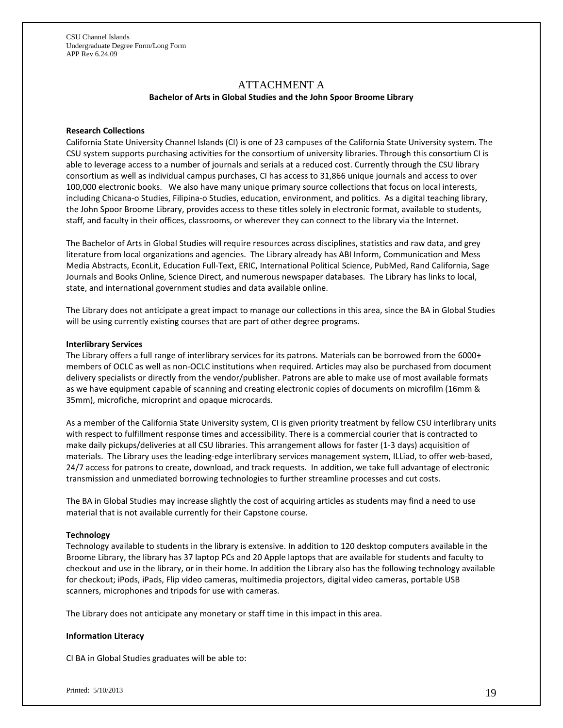# ATTACHMENT A

#### **Bachelor of Arts in Global Studies and the John Spoor Broome Library**

#### **Research Collections**

California State University Channel Islands (CI) is one of 23 campuses of the California State University system. The CSU system supports purchasing activities for the consortium of university libraries. Through this consortium CI is able to leverage access to a number of journals and serials at a reduced cost. Currently through the CSU library consortium as well as individual campus purchases, CI has access to 31,866 unique journals and access to over 100,000 electronic books. We also have many unique primary source collections that focus on local interests, including Chicana-o Studies, Filipina-o Studies, education, environment, and politics. As a digital teaching library, the John Spoor Broome Library, provides access to these titles solely in electronic format, available to students, staff, and faculty in their offices, classrooms, or wherever they can connect to the library via the Internet.

The Bachelor of Arts in Global Studies will require resources across disciplines, statistics and raw data, and grey literature from local organizations and agencies. The Library already has ABI Inform, Communication and Mess Media Abstracts, EconLit, Education Full-Text, ERIC, International Political Science, PubMed, Rand California, Sage Journals and Books Online, Science Direct, and numerous newspaper databases. The Library has links to local, state, and international government studies and data available online.

The Library does not anticipate a great impact to manage our collections in this area, since the BA in Global Studies will be using currently existing courses that are part of other degree programs.

#### **Interlibrary Services**

The Library offers a full range of interlibrary services for its patrons. Materials can be borrowed from the 6000+ members of OCLC as well as non-OCLC institutions when required. Articles may also be purchased from document delivery specialists or directly from the vendor/publisher. Patrons are able to make use of most available formats as we have equipment capable of scanning and creating electronic copies of documents on microfilm (16mm & 35mm), microfiche, microprint and opaque microcards.

As a member of the California State University system, CI is given priority treatment by fellow CSU interlibrary units with respect to fulfillment response times and accessibility. There is a commercial courier that is contracted to make daily pickups/deliveries at all CSU libraries. This arrangement allows for faster (1-3 days) acquisition of materials. The Library uses the leading-edge interlibrary services management system, ILLiad, to offer web-based, 24/7 access for patrons to create, download, and track requests. In addition, we take full advantage of electronic transmission and unmediated borrowing technologies to further streamline processes and cut costs.

The BA in Global Studies may increase slightly the cost of acquiring articles as students may find a need to use material that is not available currently for their Capstone course.

#### **Technology**

Technology available to students in the library is extensive. In addition to 120 desktop computers available in the Broome Library, the library has 37 laptop PCs and 20 Apple laptops that are available for students and faculty to checkout and use in the library, or in their home. In addition the Library also has the following technology available for checkout; iPods, iPads, Flip video cameras, multimedia projectors, digital video cameras, portable USB scanners, microphones and tripods for use with cameras.

The Library does not anticipate any monetary or staff time in this impact in this area.

#### **Information Literacy**

CI BA in Global Studies graduates will be able to: